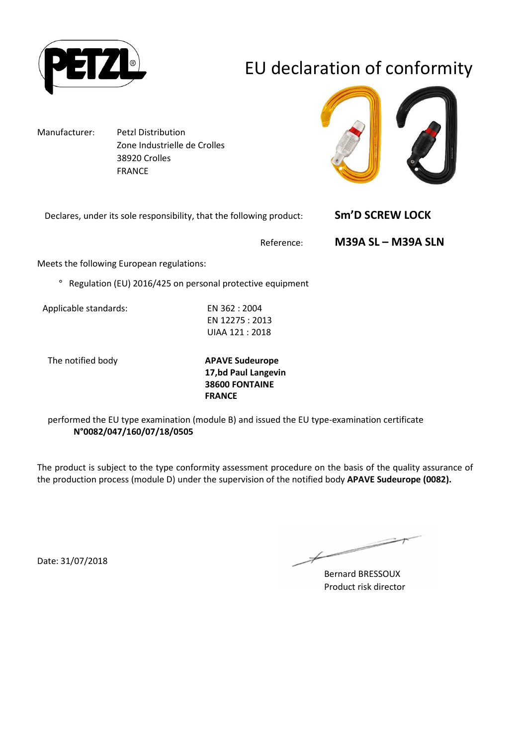

# EU declaration of conformity

Manufacturer: Petzl Distribution Zone Industrielle de Crolles 38920 Crolles FRANCE



Declares, under its sole responsibility, that the following product: **Sm'D SCREW LOCK** 

Reference: **M39A SL – M39A SLN** 

Meets the following European regulations:

° Regulation (EU) 2016/425 on personal protective equipment

Applicable standards: EN 362 : 2004

EN 12275 : 2013 UIAA 121 : 2018

The notified body **APAVE Sudeurope 17,bd Paul Langevin 38600 FONTAINE FRANCE**

performed the EU type examination (module B) and issued the EU type-examination certificate **N°0082/047/160/07/18/0505**

The product is subject to the type conformity assessment procedure on the basis of the quality assurance of the production process (module D) under the supervision of the notified body **APAVE Sudeurope (0082).**

Date: 31/07/2018

 $\overline{\phantom{1}}$ 

Bernard BRESSOUX Product risk director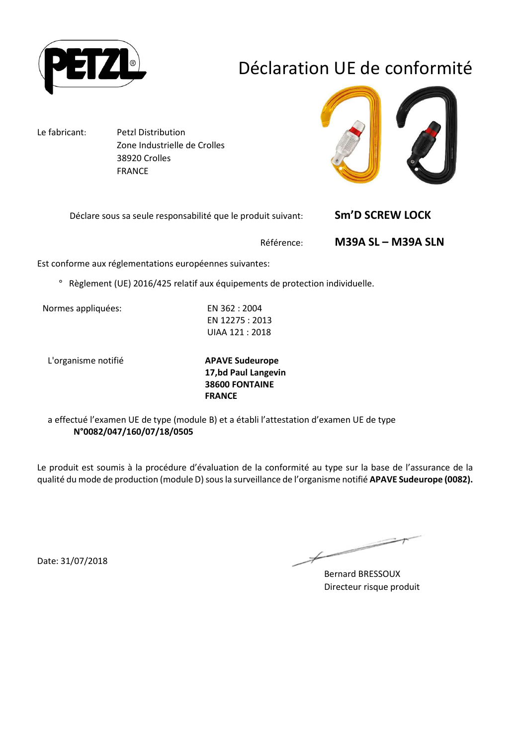

# Déclaration UE de conformité

Le fabricant: Petzl Distribution Zone Industrielle de Crolles 38920 Crolles FRANCE



Déclare sous sa seule responsabilité que le produit suivant: **Sm'D SCREW LOCK** 

Référence: **M39A SL – M39A SLN**

Est conforme aux réglementations européennes suivantes:

° Règlement (UE) 2016/425 relatif aux équipements de protection individuelle.

Normes appliquées: EN 362 : 2004

EN 12275 : 2013 UIAA 121 : 2018

L'organisme notifié **APAVE Sudeurope**

**17,bd Paul Langevin 38600 FONTAINE FRANCE**

a effectué l'examen UE de type (module B) et a établi l'attestation d'examen UE de type **N°0082/047/160/07/18/0505**

Le produit est soumis à la procédure d'évaluation de la conformité au type sur la base de l'assurance de la qualité du mode de production (module D) sous la surveillance de l'organisme notifié **APAVE Sudeurope (0082).**

Date: 31/07/2018

 $\overline{\phantom{1}}$ 

Bernard BRESSOUX Directeur risque produit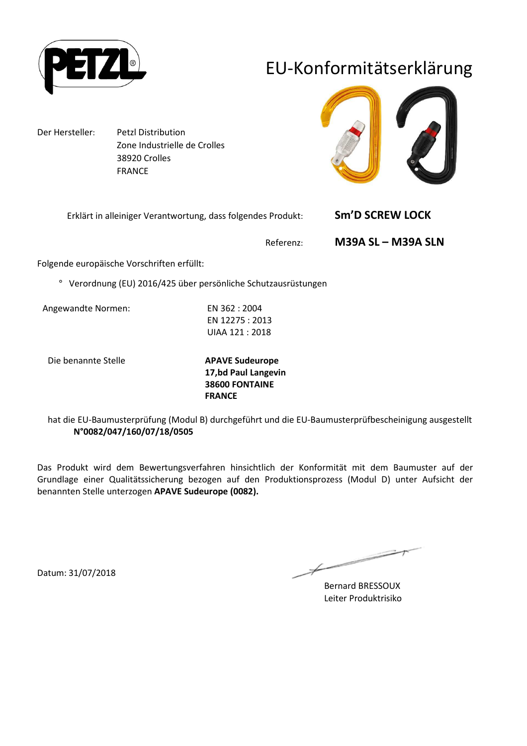

## EU-Konformitätserklärung

Der Hersteller: Petzl Distribution Zone Industrielle de Crolles 38920 Crolles FRANCE



| Erklärt in alleiniger Verantwortung, dass folgendes Produkt: | <b>Sm'D SCREW LOCK</b> |
|--------------------------------------------------------------|------------------------|
| Referenz:                                                    | M39A SL - M39A SLN     |

Folgende europäische Vorschriften erfüllt:

° Verordnung (EU) 2016/425 über persönliche Schutzausrüstungen

Angewandte Normen: EN 362 : 2004

EN 12275 : 2013 UIAA 121 : 2018

Die benannte Stelle **APAVE Sudeurope**

**17,bd Paul Langevin 38600 FONTAINE FRANCE**

hat die EU-Baumusterprüfung (Modul B) durchgeführt und die EU-Baumusterprüfbescheinigung ausgestellt **N°0082/047/160/07/18/0505**

Das Produkt wird dem Bewertungsverfahren hinsichtlich der Konformität mit dem Baumuster auf der Grundlage einer Qualitätssicherung bezogen auf den Produktionsprozess (Modul D) unter Aufsicht der benannten Stelle unterzogen **APAVE Sudeurope (0082).**

∠

Bernard BRESSOUX Leiter Produktrisiko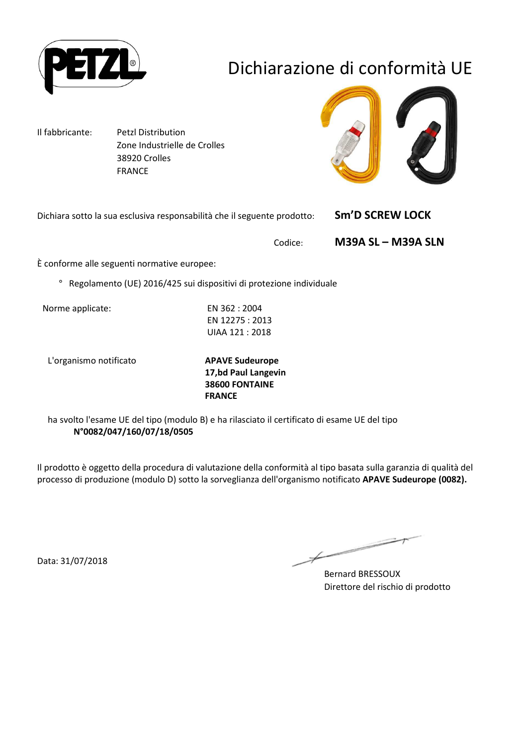

# Dichiarazione di conformità UE

Il fabbricante: Petzl Distribution Zone Industrielle de Crolles 38920 Crolles FRANCE



Dichiara sotto la sua esclusiva responsabilità che il seguente prodotto: **Sm'D SCREW LOCK** 

Codice: **M39A SL – M39A SLN**

È conforme alle seguenti normative europee:

° Regolamento (UE) 2016/425 sui dispositivi di protezione individuale

Norme applicate: EN 362 : 2004

EN 12275 : 2013 UIAA 121 : 2018

L'organismo notificato **APAVE Sudeurope**

**17,bd Paul Langevin 38600 FONTAINE FRANCE**

ha svolto l'esame UE del tipo (modulo B) e ha rilasciato il certificato di esame UE del tipo **N°0082/047/160/07/18/0505**

Il prodotto è oggetto della procedura di valutazione della conformità al tipo basata sulla garanzia di qualità del processo di produzione (modulo D) sotto la sorveglianza dell'organismo notificato **APAVE Sudeurope (0082).**

Data: 31/07/2018

Bernard BRESSOUX Direttore del rischio di prodotto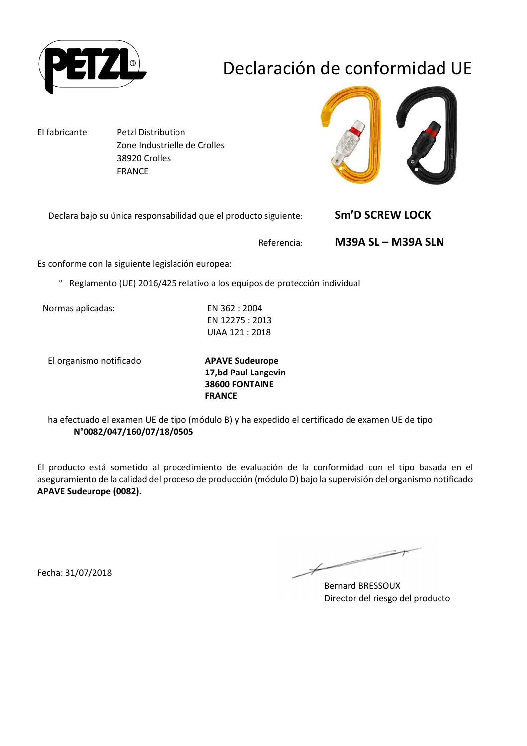

# Declaración de conformidad UE

El fabricante: Petzl Distribution Zone Industrielle de Crolles 38920 Crolles FRANCE



Declara bajo su única responsabilidad que el producto siguiente: **Sm'D SCREW LOCK** 

Referencia: **M39A SL – M39A SLN**

Es conforme con la siguiente legislación europea:

° Reglamento (UE) 2016/425 relativo a los equipos de protección individual

Normas aplicadas: EN 362 : 2004

EN 12275 : 2013 UIAA 121 : 2018

El organismo notificado **APAVE Sudeurope**

**17,bd Paul Langevin 38600 FONTAINE FRANCE**

ha efectuado el examen UE de tipo (módulo B) y ha expedido el certificado de examen UE de tipo **N°0082/047/160/07/18/0505**

El producto está sometido al procedimiento de evaluación de la conformidad con el tipo basada en el aseguramiento de la calidad del proceso de producción (módulo D) bajo la supervisión del organismo notificado **APAVE Sudeurope (0082).**

Fecha: 31/07/2018

∠

Bernard BRESSOUX Director del riesgo del producto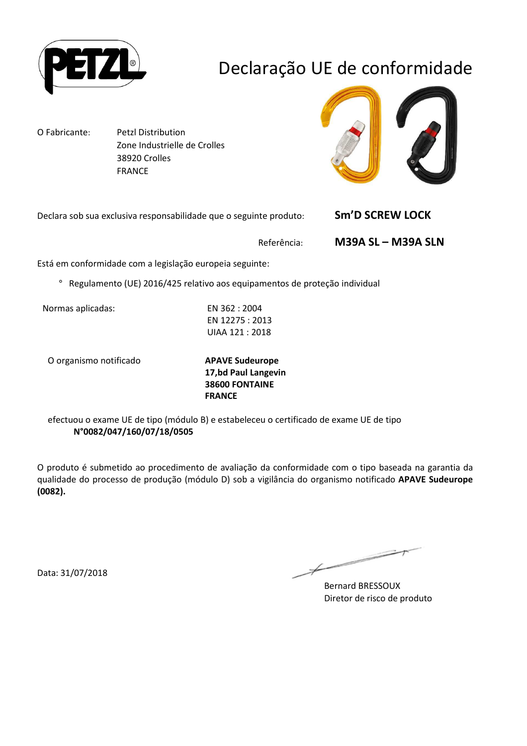

# Declaração UE de conformidade

O Fabricante: Petzl Distribution Zone Industrielle de Crolles 38920 Crolles FRANCE



Declara sob sua exclusiva responsabilidade que o seguinte produto: **Sm'D SCREW LOCK** 

Referência: **M39A SL – M39A SLN**

Está em conformidade com a legislação europeia seguinte:

° Regulamento (UE) 2016/425 relativo aos equipamentos de proteção individual

Normas aplicadas: EN 362 : 2004

EN 12275 : 2013 UIAA 121 : 2018

O organismo notificado **APAVE Sudeurope**

**17,bd Paul Langevin 38600 FONTAINE FRANCE**

efectuou o exame UE de tipo (módulo B) e estabeleceu o certificado de exame UE de tipo **N°0082/047/160/07/18/0505**

O produto é submetido ao procedimento de avaliação da conformidade com o tipo baseada na garantia da qualidade do processo de produção (módulo D) sob a vigilância do organismo notificado **APAVE Sudeurope (0082).**

Data: 31/07/2018

∠

Bernard BRESSOUX Diretor de risco de produto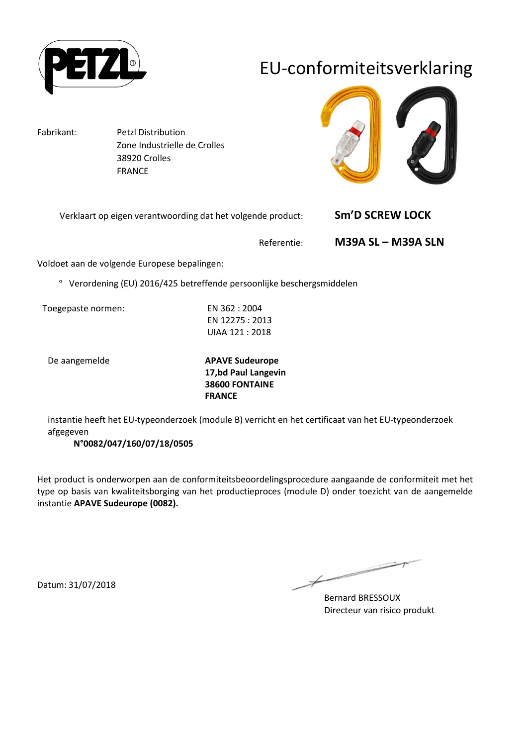

## EU-conformiteitsverklaring

Fabrikant: Petzl Distribution Zone Industrielle de Crolles 38920 Crolles FRANCE



| Verklaart op eigen verantwoording dat het volgende product: | <b>Sm'D SCREW LOCK</b> |
|-------------------------------------------------------------|------------------------|
|                                                             | ------                 |

Referentie: **M39A SL – M39A SLN**

Voldoet aan de volgende Europese bepalingen:

° Verordening (EU) 2016/425 betreffende persoonlijke beschergsmiddelen

Toegepaste normen: EN 362 : 2004

EN 12275 : 2013 UIAA 121 : 2018

De aangemelde **APAVE Sudeurope 17,bd Paul Langevin 38600 FONTAINE FRANCE**

instantie heeft het EU-typeonderzoek (module B) verricht en het certificaat van het EU-typeonderzoek afgegeven

#### **N°0082/047/160/07/18/0505**

Het product is onderworpen aan de conformiteitsbeoordelingsprocedure aangaande de conformiteit met het type op basis van kwaliteitsborging van het productieproces (module D) onder toezicht van de aangemelde instantie **APAVE Sudeurope (0082).**

Ł

Bernard BRESSOUX Directeur van risico produkt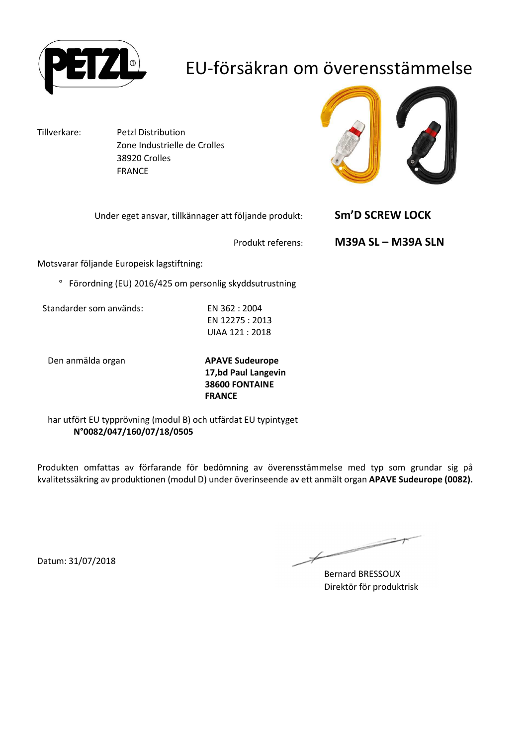

## EU-försäkran om överensstämmelse

Tillverkare: Petzl Distribution Zone Industrielle de Crolles 38920 Crolles FRANCE



| Under eget ansvar, tillkännager att följande produkt: | <b>Sm'D SCREW LOCK</b>    |
|-------------------------------------------------------|---------------------------|
| Produkt referens:                                     | <b>M39A SL - M39A SLN</b> |

Motsvarar följande Europeisk lagstiftning:

° Förordning (EU) 2016/425 om personlig skyddsutrustning

Standarder som används: EN 362 : 2004

EN 12275 : 2013 UIAA 121 : 2018

Den anmälda organ **APAVE Sudeurope**

**17,bd Paul Langevin 38600 FONTAINE FRANCE**

har utfört EU typprövning (modul B) och utfärdat EU typintyget **N°0082/047/160/07/18/0505**

Produkten omfattas av förfarande för bedömning av överensstämmelse med typ som grundar sig på kvalitetssäkring av produktionen (modul D) under överinseende av ett anmält organ **APAVE Sudeurope (0082).**

 $\overline{\phantom{0}}$ 

Bernard BRESSOUX Direktör för produktrisk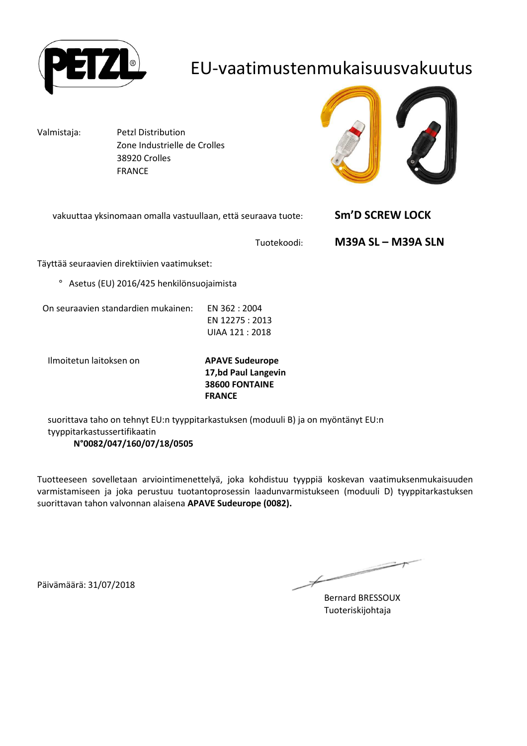

#### EU-vaatimustenmukaisuusvakuutus

Valmistaja: Petzl Distribution Zone Industrielle de Crolles 38920 Crolles FRANCE



| vakuuttaa yksinomaan omalla vastuullaan, että seuraava tuote: | <b>Sm'D SCREW LOCK</b> |
|---------------------------------------------------------------|------------------------|
|                                                               |                        |

Tuotekoodi: **M39A SL – M39A SLN**

Täyttää seuraavien direktiivien vaatimukset:

° Asetus (EU) 2016/425 henkilönsuojaimista

On seuraavien standardien mukainen: EN 362 : 2004

EN 12275 : 2013 UIAA 121 : 2018

Ilmoitetun laitoksen on **APAVE Sudeurope**

**17,bd Paul Langevin 38600 FONTAINE FRANCE**

suorittava taho on tehnyt EU:n tyyppitarkastuksen (moduuli B) ja on myöntänyt EU:n tyyppitarkastussertifikaatin **N°0082/047/160/07/18/0505**

Tuotteeseen sovelletaan arviointimenettelyä, joka kohdistuu tyyppiä koskevan vaatimuksenmukaisuuden varmistamiseen ja joka perustuu tuotantoprosessin laadunvarmistukseen (moduuli D) tyyppitarkastuksen suorittavan tahon valvonnan alaisena **APAVE Sudeurope (0082).**

Päivämäärä: 31/07/2018

Bernard BRESSOUX Tuoteriskijohtaja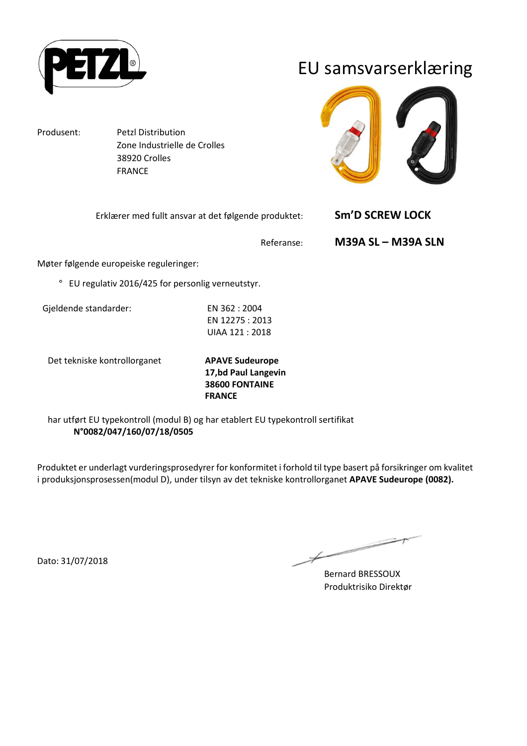

EU samsvarserklæring

Produsent: Petzl Distribution

 Zone Industrielle de Crolles 38920 Crolles FRANCE



| Erklærer med fullt ansvar at det følgende produktet: | Sm'D SCREW LOCK           |
|------------------------------------------------------|---------------------------|
| Referanse:                                           | <b>M39A SL – M39A SLN</b> |

Møter følgende europeiske reguleringer:

° EU regulativ 2016/425 for personlig verneutstyr.

Gjeldende standarder: EN 362 : 2004

EN 12275 : 2013 UIAA 121 : 2018

Det tekniske kontrollorganet **APAVE Sudeurope**

**17,bd Paul Langevin 38600 FONTAINE FRANCE**

har utført EU typekontroll (modul B) og har etablert EU typekontroll sertifikat **N°0082/047/160/07/18/0505**

Produktet er underlagt vurderingsprosedyrer for konformitet i forhold til type basert på forsikringer om kvalitet i produksjonsprosessen(modul D), under tilsyn av det tekniske kontrollorganet **APAVE Sudeurope (0082).**

Dato: 31/07/2018

Bernard BRESSOUX Produktrisiko Direktør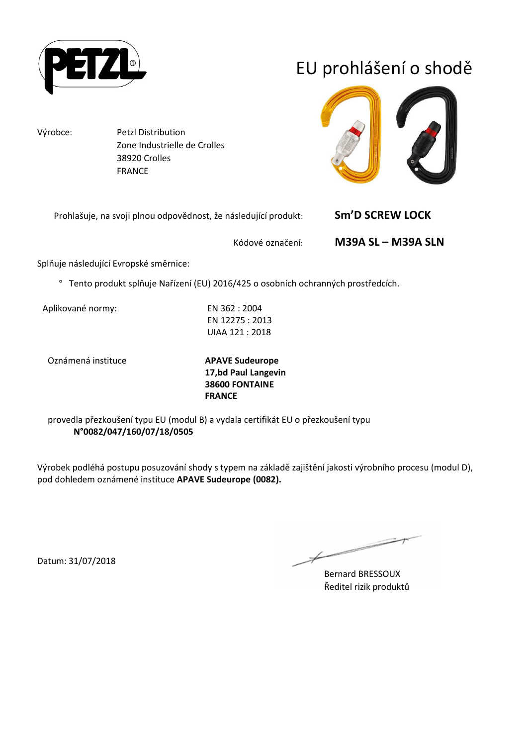

# EU prohlášení o shodě

Výrobce: Petzl Distribution Zone Industrielle de Crolles 38920 Crolles FRANCE



| Prohlašuje, na svoji plnou odpovědnost, že následující produkt: | <b>Sm'D SCREW LOCK</b>    |
|-----------------------------------------------------------------|---------------------------|
| Kódové označení:                                                | <b>M39A SL – M39A SLN</b> |

Splňuje následující Evropské směrnice:

° Tento produkt splňuje Nařízení (EU) 2016/425 o osobních ochranných prostředcích.

Aplikované normy: EN 362 : 2004

EN 12275 : 2013 UIAA 121 : 2018

Oznámená instituce **APAVE Sudeurope**

**17,bd Paul Langevin 38600 FONTAINE FRANCE**

provedla přezkoušení typu EU (modul B) a vydala certifikát EU o přezkoušení typu **N°0082/047/160/07/18/0505**

Výrobek podléhá postupu posuzování shody s typem na základě zajištění jakosti výrobního procesu (modul D), pod dohledem oznámené instituce **APAVE Sudeurope (0082).**

 $\overline{\phantom{a}}$ 

Bernard BRESSOUX Ředitel rizik produktů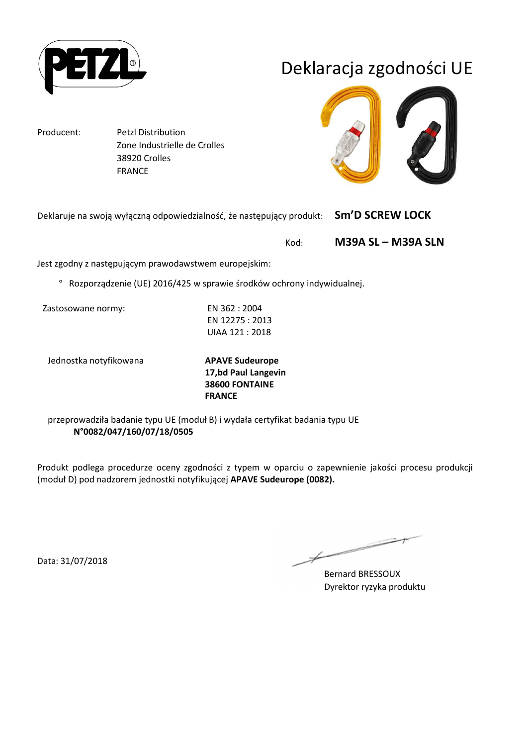

## Deklaracja zgodności UE

Producent: Petzl Distribution Zone Industrielle de Crolles 38920 Crolles FRANCE

Deklaruje na swoją wyłączną odpowiedzialność, że następujący produkt: **Sm'D SCREW LOCK** 

Kod: **M39A SL – M39A SLN**

Jest zgodny z następującym prawodawstwem europejskim:

° Rozporządzenie (UE) 2016/425 w sprawie środków ochrony indywidualnej.

Zastosowane normy: EN 362 : 2004

EN 12275 : 2013 UIAA 121 : 2018

Jednostka notyfikowana **APAVE Sudeurope**

**17,bd Paul Langevin 38600 FONTAINE FRANCE**

przeprowadziła badanie typu UE (moduł B) i wydała certyfikat badania typu UE **N°0082/047/160/07/18/0505**

Produkt podlega procedurze oceny zgodności z typem w oparciu o zapewnienie jakości procesu produkcji (moduł D) pod nadzorem jednostki notyfikującej **APAVE Sudeurope (0082).**

Data: 31/07/2018

 $\overline{\phantom{1}}$ 

Bernard BRESSOUX Dyrektor ryzyka produktu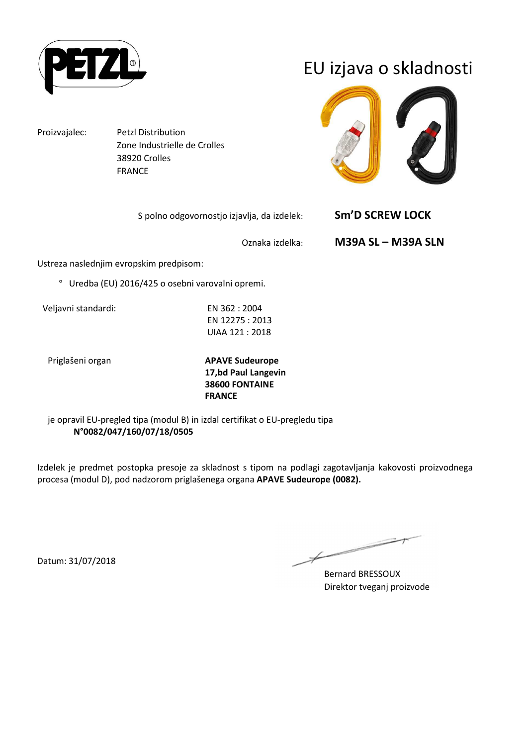

EU izjava o skladnosti

Proizvajalec: Petzl Distribution

 Zone Industrielle de Crolles 38920 Crolles FRANCE



| S polno odgovornostjo izjavlja, da izdelek: | <b>Sm'D SCREW LOCK</b>    |
|---------------------------------------------|---------------------------|
| Oznaka izdelka:                             | <b>M39A SL - M39A SLN</b> |

Ustreza naslednjim evropskim predpisom:

° Uredba (EU) 2016/425 o osebni varovalni opremi.

Veljavni standardi: EN 362 : 2004

EN 12275 : 2013 UIAA 121 : 2018

Priglašeni organ **APAVE Sudeurope 17,bd Paul Langevin 38600 FONTAINE FRANCE**

je opravil EU-pregled tipa (modul B) in izdal certifikat o EU-pregledu tipa **N°0082/047/160/07/18/0505**

Izdelek je predmet postopka presoje za skladnost s tipom na podlagi zagotavljanja kakovosti proizvodnega procesa (modul D), pod nadzorom priglašenega organa **APAVE Sudeurope (0082).**

 $\overline{\phantom{a}}$ 

Bernard BRESSOUX Direktor tveganj proizvode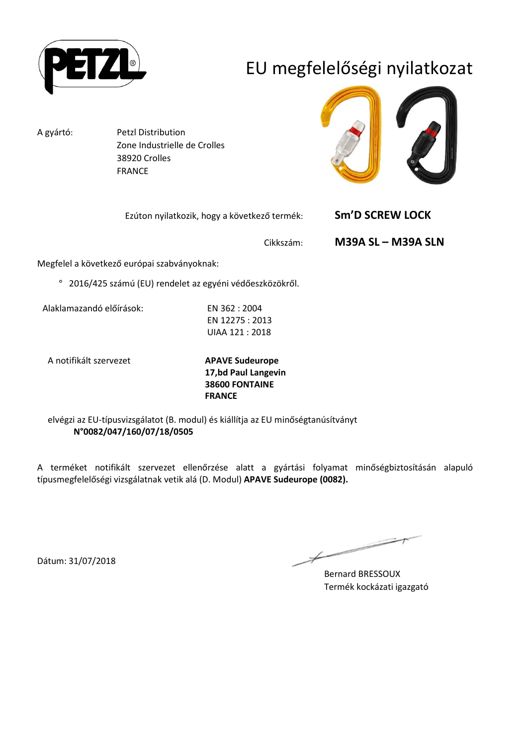

# EU megfelelőségi nyilatkozat

A gyártó: Petzl Distribution Zone Industrielle de Crolles 38920 Crolles FRANCE



| Ezúton nyilatkozik, hogy a következő termék: | Sm'D SCREW LOCK                        |  |
|----------------------------------------------|----------------------------------------|--|
|                                              | <b>M39A SL - M39A SLN</b><br>Cikkszám: |  |
| ző ourónai czahyányoknak:                    |                                        |  |

Megfelel a következő európai szabványoknak:

° 2016/425 számú (EU) rendelet az egyéni védőeszközökről.

Alaklamazandó előírások: EN 362 : 2004

EN 12275 : 2013 UIAA 121 : 2018

A notifikált szervezet **APAVE Sudeurope**

**17,bd Paul Langevin 38600 FONTAINE FRANCE**

elvégzi az EU-típusvizsgálatot (B. modul) és kiállítja az EU minőségtanúsítványt **N°0082/047/160/07/18/0505**

A terméket notifikált szervezet ellenőrzése alatt a gyártási folyamat minőségbiztosításán alapuló típusmegfelelőségi vizsgálatnak vetik alá (D. Modul) **APAVE Sudeurope (0082).**

 $\overline{\phantom{1}}$ 

Bernard BRESSOUX Termék kockázati igazgató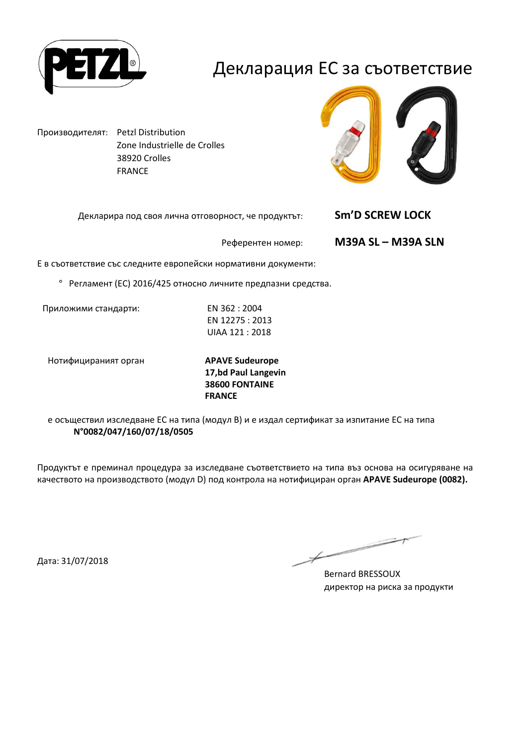

#### Декларация ЕС за съответствие

Производителят: Petzl Distribution Zone Industrielle de Crolles 38920 Crolles FRANCE



Декларира под своя лична отговорност, че продуктът: **Sm'D SCREW LOCK** 

Референтен номер: **M39A SL – M39A SLN**

Е в съответствие със следните европейски нормативни документи:

° Регламент (ЕС) 2016/425 относно личните предпазни средства.

Приложими стандарти: EN 362 : 2004

EN 12275 : 2013 UIAA 121 : 2018

Нотифицираният орган **APAVE Sudeurope**

**17,bd Paul Langevin 38600 FONTAINE FRANCE**

е осъществил изследване ЕС на типа (модул В) и е издал сертификат за изпитание ЕС на типа **N°0082/047/160/07/18/0505**

Продуктът е преминал процедура за изследване съответствието на типа въз основа на осигуряване на качеството на производството (модул D) под контрола на нотифициран орган **APAVE Sudeurope (0082).**

Дата: 31/07/2018

Bernard BRESSOUX директор на риска за продукти